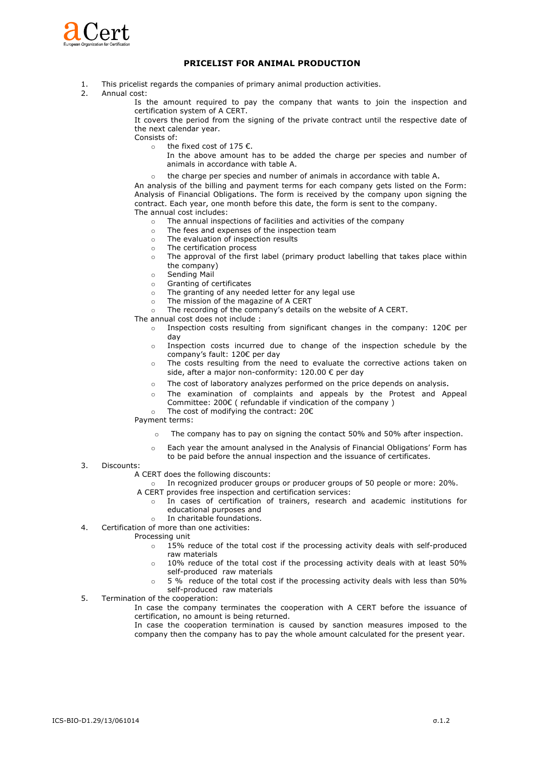

## **PRICELIST FOR ANIMAL PRODUCTION**

- 1. This pricelist regards the companies of primary animal production activities.
- 2. Annual cost:

 Is the amount required to pay the company that wants to join the inspection and certification system of A CERT.

 It covers the period from the signing of the private contract until the respective date of the next calendar year.

Consists of:

- o the fixed cost of 175 €.
	- In the above amount has to be added the charge per species and number of animals in accordance with table A.
- <sup>o</sup> the charge per species and number of animals in accordance with table A.

 An analysis of the billing and payment terms for each company gets listed on the Form: Analysis of Financial Obligations. The form is received by the company upon signing the contract. Each year, one month before this date, the form is sent to the company. The annual cost includes:

- o The annual inspections of facilities and activities of the company
- o The fees and expenses of the inspection team
- o The evaluation of inspection results
- o The certification process
- $\circ$  The approval of the first label (primary product labelling that takes place within the company)
- o Sending Mail
- o Granting of certificates
- o The granting of any needed letter for any legal use
- o The mission of the magazine of A CERT
- o The recording of the company's details on the website of A CERT.

The annual cost does not include :

- o Inspection costs resulting from significant changes in the company:  $120 \epsilon$  per day
- $\circ$  Inspection costs incurred due to change of the inspection schedule by the company's fault: 120€ per day
- o The costs resulting from the need to evaluate the corrective actions taken on side, after a major non-conformity: 120.00 € per day
- <sup>o</sup> The cost of laboratory analyzes performed on the price depends on analysis.
- o The examination of complaints and appeals by the Protest and Appeal Committee: 200€ ( refundable if vindication of the company )
- o The cost of modifying the contract: 20€

Payment terms:

- o The company has to pay on signing the contact 50% and 50% after inspection.
- Each year the amount analysed in the Analysis of Financial Obligations' Form has to be paid before the annual inspection and the issuance of certificates.
- 3. Discounts:
	- A CERT does the following discounts:
	- o In recognized producer groups or producer groups of 50 people or more: 20%.
	- A CERT provides free inspection and certification services:
		- o In cases of certification of trainers, research and academic institutions for educational purposes and
		- o In charitable foundations.
- 4. Certification of more than one activities:
	- Processing unit
		- $\circ$  15% reduce of the total cost if the processing activity deals with self-produced raw materials
		- $\circ$  10% reduce of the total cost if the processing activity deals with at least 50% self-produced raw materials
		- $\circ$  5 % reduce of the total cost if the processing activity deals with less than 50% self-produced raw materials
- 5. Termination of the cooperation:

 In case the company terminates the cooperation with A CERT before the issuance of certification, no amount is being returned.

 In case the cooperation termination is caused by sanction measures imposed to the company then the company has to pay the whole amount calculated for the present year.